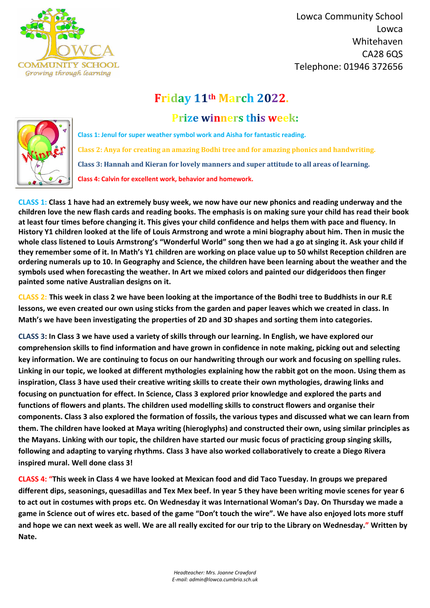

 Lowca Community School Lowca Whitehaven CA28 6QS Telephone: 01946 372656

*Headteacher: Mrs. Joanne Crawford E-mail: admin@lowca.cumbria.sch.uk*

## **Friday 11th March 2022.**

## **Prize winners this week:**



**Class 1: Jenul for super weather symbol work and Aisha for fantastic reading. Class 2: Anya for creating an amazing Bodhi tree and for amazing phonics and handwriting. Class 3: Hannah and Kieran for lovely manners and super attitude to all areas of learning. Class 4: Calvin for excellent work, behavior and homework.**

**CLASS 1: Class 1 have had an extremely busy week, we now have our new phonics and reading underway and the children love the new flash cards and reading books. The emphasis is on making sure your child has read their book at least four times before changing it. This gives your child confidence and helps them with pace and fluency. In History Y1 children looked at the life of Louis Armstrong and wrote a mini biography about him. Then in music the whole class listened to Louis Armstrong's "Wonderful World" song then we had a go at singing it. Ask your child if they remember some of it. In Math's Y1 children are working on place value up to 50 whilst Reception children are ordering numerals up to 10. In Geography and Science, the children have been learning about the weather and the symbols used when forecasting the weather. In Art we mixed colors and painted our didgeridoos then finger painted some native Australian designs on it.**

**CLASS 2: This week in class 2 we have been looking at the importance of the Bodhi tree to Buddhists in our R.E lessons, we even created our own using sticks from the garden and paper leaves which we created in class. In Math's we have been investigating the properties of 2D and 3D shapes and sorting them into categories.**

**CLASS 3: In Class 3 we have used a variety of skills through our learning. In English, we have explored our comprehension skills to find information and have grown in confidence in note making, picking out and selecting key information. We are continuing to focus on our handwriting through our work and focusing on spelling rules. Linking in our topic, we looked at different mythologies explaining how the rabbit got on the moon. Using them as inspiration, Class 3 have used their creative writing skills to create their own mythologies, drawing links and focusing on punctuation for effect. In Science, Class 3 explored prior knowledge and explored the parts and functions of flowers and plants. The children used modelling skills to construct flowers and organise their components. Class 3 also explored the formation of fossils, the various types and discussed what we can learn from them. The children have looked at Maya writing (hieroglyphs) and constructed their own, using similar principles as the Mayans. Linking with our topic, the children have started our music focus of practicing group singing skills, following and adapting to varying rhythms. Class 3 have also worked collaboratively to create a Diego Rivera** 

**inspired mural. Well done class 3!**

**CLASS 4: "This week in Class 4 we have looked at Mexican food and did Taco Tuesday. In groups we prepared different dips, seasonings, quesadillas and Tex Mex beef. In year 5 they have been writing movie scenes for year 6 to act out in costumes with props etc. On Wednesday it was International Woman's Day. On Thursday we made a game in Science out of wires etc. based of the game "Don't touch the wire". We have also enjoyed lots more stuff and hope we can next week as well. We are all really excited for our trip to the Library on Wednesday." Written by Nate.**